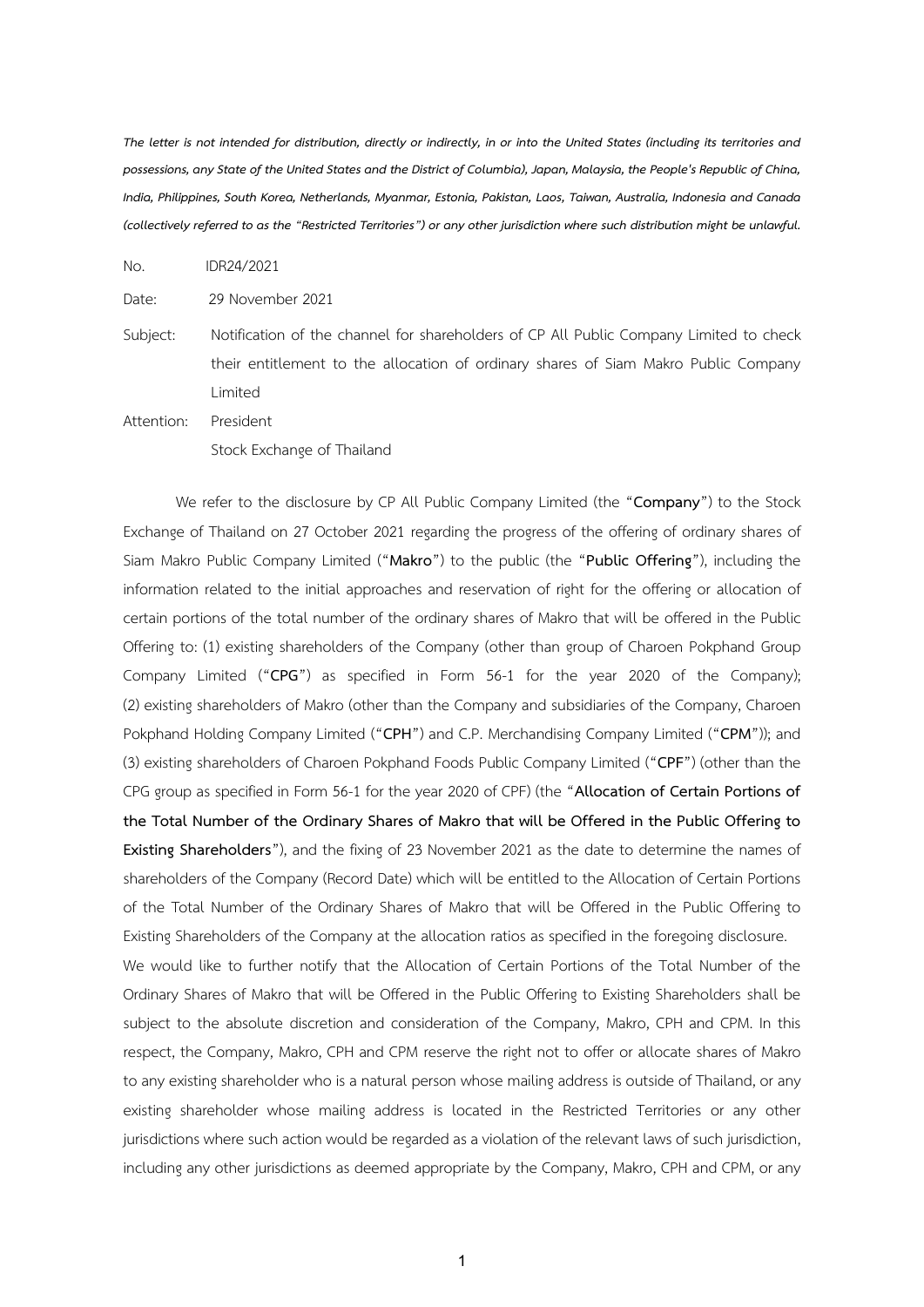*The letter is not intended for distribution, directly or indirectly, in or into the United States (including its territories and possessions, any State of the United States and the District of Columbia), Japan, Malaysia, the People's Republic of China, India, Philippines, South Korea, Netherlands, Myanmar, Estonia, Pakistan, Laos, Taiwan, Australia, Indonesia and Canada (collectively referred to as the "Restricted Territories") or any other jurisdiction where such distribution might be unlawful.*

No. IDR24/2021

Date: 29 November 2021

Subject: Notification of the channel for shareholders of CP All Public Company Limited to check their entitlement to the allocation of ordinary shares of Siam Makro Public Company Limited

Attention: President Stock Exchange of Thailand

We refer to the disclosure by CP All Public Company Limited (the "**Company**") to the Stock Exchange of Thailand on 27 October 2021 regarding the progress of the offering of ordinary shares of Siam Makro Public Company Limited ("**Makro**") to the public (the "**Public Offering**"), including the information related to the initial approaches and reservation of right for the offering or allocation of certain portions of the total number of the ordinary shares of Makro that will be offered in the Public Offering to: (1) existing shareholders of the Company (other than group of Charoen Pokphand Group Company Limited ("**CPG**") as specified in Form 56-1 for the year 2020 of the Company); (2) existing shareholders of Makro (other than the Company and subsidiaries of the Company, Charoen Pokphand Holding Company Limited ("**CPH**") and C.P. Merchandising Company Limited ("**CPM**")); and (3) existing shareholders of Charoen Pokphand Foods Public Company Limited ("**CPF**") (other than the CPG group as specified in Form 56-1 for the year 2020 of CPF) (the "**Allocation of Certain Portions of the Total Number of the Ordinary Shares of Makro that will be Offered in the Public Offering to Existing Shareholders**"), and the fixing of 23 November 2021 as the date to determine the names of shareholders of the Company (Record Date) which will be entitled to the Allocation of Certain Portions of the Total Number of the Ordinary Shares of Makro that will be Offered in the Public Offering to Existing Shareholders of the Company at the allocation ratios as specified in the foregoing disclosure. We would like to further notify that the Allocation of Certain Portions of the Total Number of the Ordinary Shares of Makro that will be Offered in the Public Offering to Existing Shareholders shall be subject to the absolute discretion and consideration of the Company, Makro, CPH and CPM. In this respect, the Company, Makro, CPH and CPM reserve the right not to offer or allocate shares of Makro to any existing shareholder who is a natural person whose mailing address is outside of Thailand, or any existing shareholder whose mailing address is located in the Restricted Territories or any other jurisdictions where such action would be regarded as a violation of the relevant laws of such jurisdiction, including any other jurisdictions as deemed appropriate by the Company, Makro, CPH and CPM, or any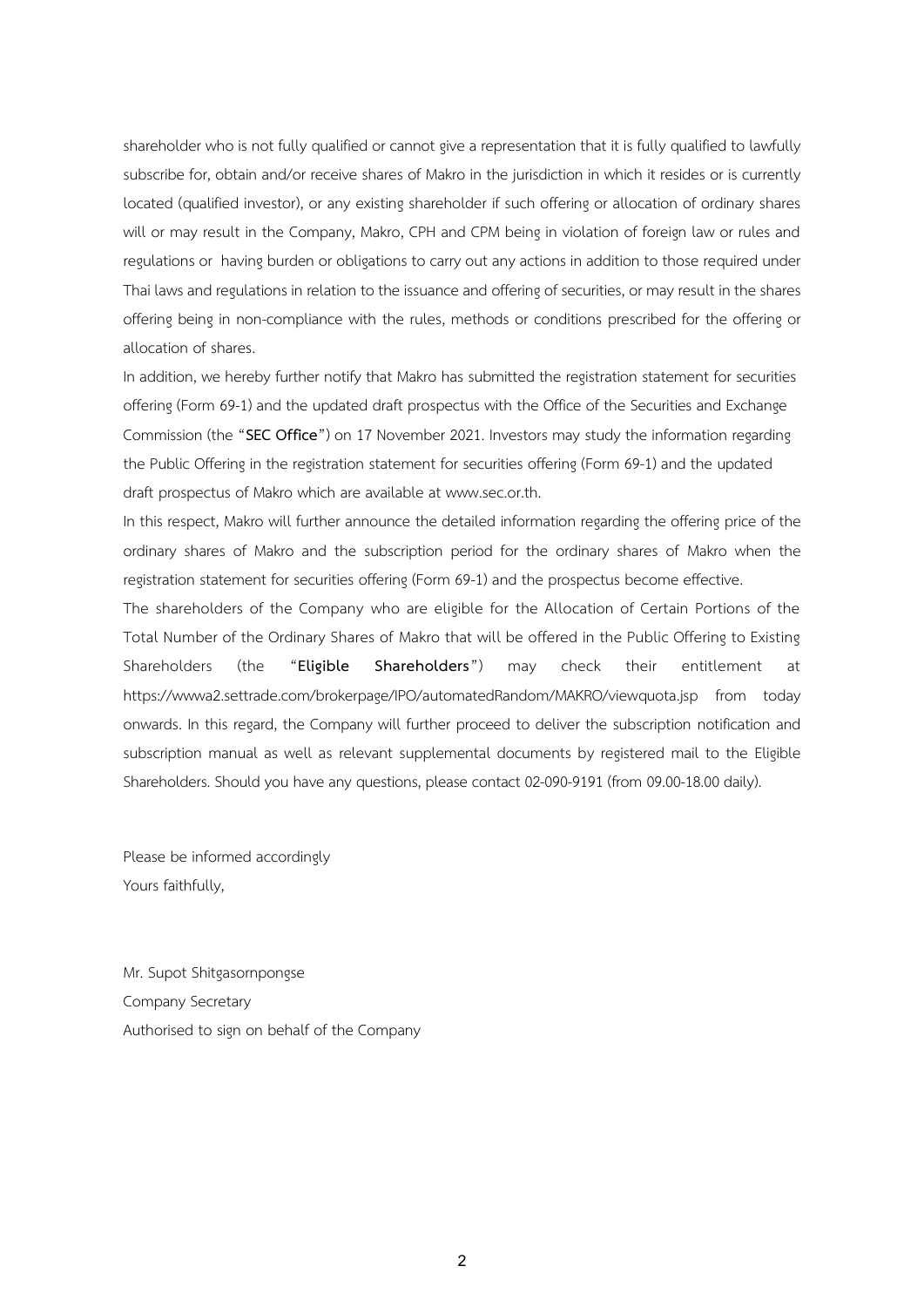shareholder who is not fully qualified or cannot give a representation that it is fully qualified to lawfully subscribe for, obtain and/or receive shares of Makro in the jurisdiction in which it resides or is currently located (qualified investor), or any existing shareholder if such offering or allocation of ordinary shares will or may result in the Company, Makro, CPH and CPM being in violation of foreign law or rules and regulations or having burden or obligations to carry out any actions in addition to those required under Thai laws and regulations in relation to the issuance and offering of securities, or may result in the shares offering being in non-compliance with the rules, methods or conditions prescribed for the offering or allocation of shares.

In addition, we hereby further notify that Makro has submitted the registration statement for securities offering (Form 69-1) and the updated draft prospectus with the Office of the Securities and Exchange Commission (the "**SEC Office**") on 17 November 2021. Investors may study the information regarding the Public Offering in the registration statement for securities offering (Form 69-1) and the updated draft prospectus of Makro which are available at www.sec.or.th.

In this respect, Makro will further announce the detailed information regarding the offering price of the ordinary shares of Makro and the subscription period for the ordinary shares of Makro when the registration statement for securities offering (Form 69-1) and the prospectus become effective.

The shareholders of the Company who are eligible for the Allocation of Certain Portions of the Total Number of the Ordinary Shares of Makro that will be offered in the Public Offering to Existing Shareholders (the "**Eligible Shareholders**") may check their entitlement at https://wwwa2.settrade.com/brokerpage/IPO/automatedRandom/MAKRO/viewquota.jsp from today onwards. In this regard, the Company will further proceed to deliver the subscription notification and subscription manual as well as relevant supplemental documents by registered mail to the Eligible Shareholders. Should you have any questions, please contact 02-090-9191 (from 09.00-18.00 daily).

Please be informed accordingly Yours faithfully,

Mr. Supot Shitgasornpongse Company Secretary Authorised to sign on behalf of the Company